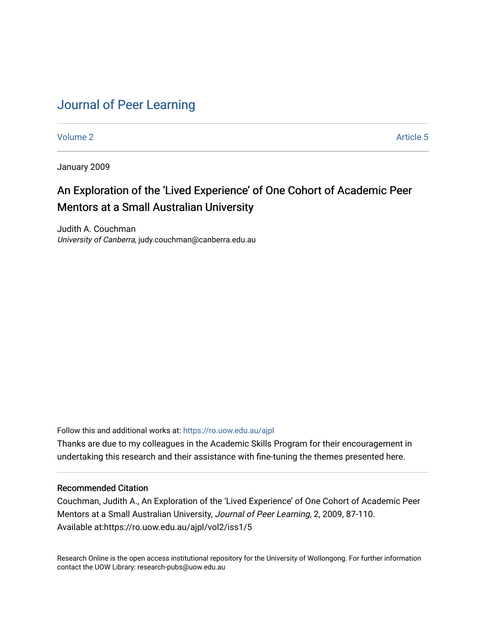# [Journal of Peer Learning](https://ro.uow.edu.au/ajpl)

[Volume 2](https://ro.uow.edu.au/ajpl/vol2) Article 5

January 2009

# An Exploration of the 'Lived Experience' of One Cohort of Academic Peer Mentors at a Small Australian University

Judith A. Couchman University of Canberra, judy.couchman@canberra.edu.au

Follow this and additional works at: [https://ro.uow.edu.au/ajpl](https://ro.uow.edu.au/ajpl?utm_source=ro.uow.edu.au%2Fajpl%2Fvol2%2Fiss1%2F5&utm_medium=PDF&utm_campaign=PDFCoverPages)  Thanks are due to my colleagues in the Academic Skills Program for their encouragement in

undertaking this research and their assistance with fine-tuning the themes presented here.

## Recommended Citation

Couchman, Judith A., An Exploration of the 'Lived Experience' of One Cohort of Academic Peer Mentors at a Small Australian University, Journal of Peer Learning, 2, 2009, 87-110. Available at:https://ro.uow.edu.au/ajpl/vol2/iss1/5

Research Online is the open access institutional repository for the University of Wollongong. For further information contact the UOW Library: research-pubs@uow.edu.au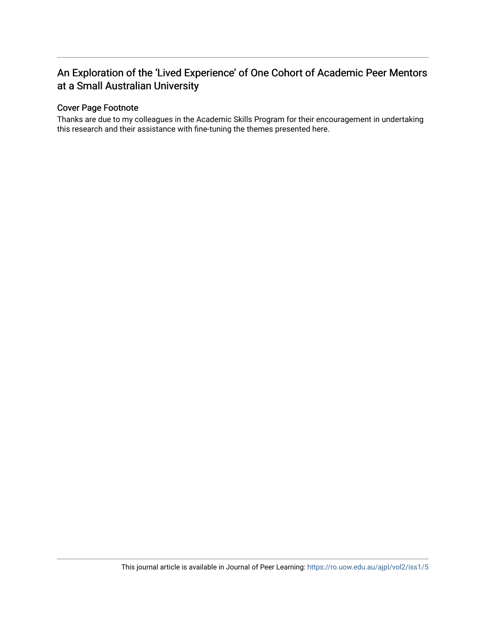# An Exploration of the 'Lived Experience' of One Cohort of Academic Peer Mentors at a Small Australian University

## Cover Page Footnote

Thanks are due to my colleagues in the Academic Skills Program for their encouragement in undertaking this research and their assistance with fine-tuning the themes presented here.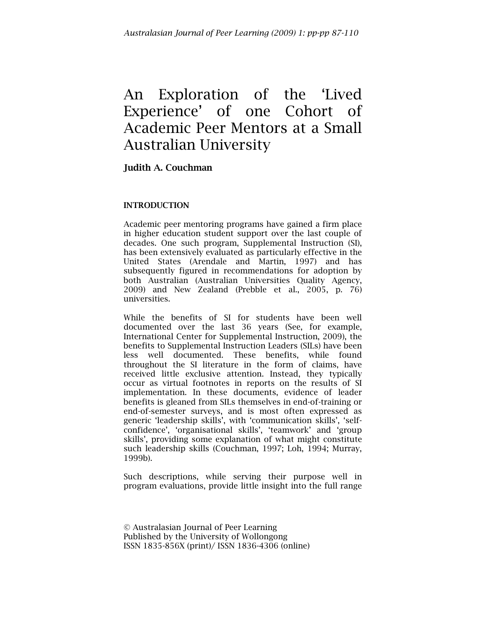# An Exploration of the 'Lived Experience' of one Cohort of Academic Peer Mentors at a Small Australian University

# Judith A. Couchman

## INTRODUCTION

Academic peer mentoring programs have gained a firm place in higher education student support over the last couple of decades. One such program, Supplemental Instruction (SI), has been extensively evaluated as particularly effective in the United States (Arendale and Martin, 1997) and has subsequently figured in recommendations for adoption by both Australian (Australian Universities Quality Agency, 2009) and New Zealand (Prebble et al., 2005, p. 76) universities.

While the benefits of SI for students have been well documented over the last 36 years (See, for example, International Center for Supplemental Instruction, 2009), the benefits to Supplemental Instruction Leaders (SILs) have been less well documented. These benefits, while found throughout the SI literature in the form of claims, have received little exclusive attention. Instead, they typically occur as virtual footnotes in reports on the results of SI implementation. In these documents, evidence of leader benefits is gleaned from SILs themselves in end-of-training or end-of-semester surveys, and is most often expressed as generic 'leadership skills', with 'communication skills', 'selfconfidence', 'organisational skills', 'teamwork' and 'group skills', providing some explanation of what might constitute such leadership skills (Couchman, 1997; Loh, 1994; Murray, 1999b).

Such descriptions, while serving their purpose well in program evaluations, provide little insight into the full range

© Australasian Journal of Peer Learning Published by the University of Wollongong ISSN 1835-856X (print)/ ISSN 1836-4306 (online)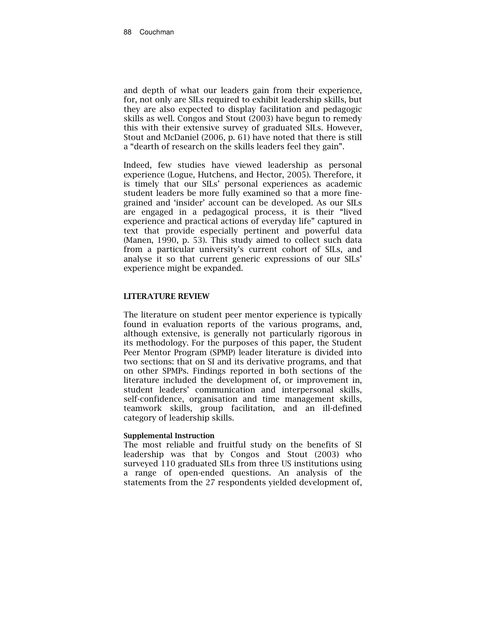and depth of what our leaders gain from their experience, for, not only are SILs required to exhibit leadership skills, but they are also expected to display facilitation and pedagogic skills as well. Congos and Stout (2003) have begun to remedy this with their extensive survey of graduated SILs. However, Stout and McDaniel (2006, p. 61) have noted that there is still a "dearth of research on the skills leaders feel they gain".

Indeed, few studies have viewed leadership as personal experience (Logue, Hutchens, and Hector, 2005). Therefore, it is timely that our SILs' personal experiences as academic student leaders be more fully examined so that a more finegrained and 'insider' account can be developed. As our SILs are engaged in a pedagogical process, it is their "lived experience and practical actions of everyday life" captured in text that provide especially pertinent and powerful data (Manen, 1990, p. 53). This study aimed to collect such data from a particular university's current cohort of SILs, and analyse it so that current generic expressions of our SILs' experience might be expanded.

#### LITERATURE REVIEW

The literature on student peer mentor experience is typically found in evaluation reports of the various programs, and, although extensive, is generally not particularly rigorous in its methodology. For the purposes of this paper, the Student Peer Mentor Program (SPMP) leader literature is divided into two sections: that on SI and its derivative programs, and that on other SPMPs. Findings reported in both sections of the literature included the development of, or improvement in, student leaders' communication and interpersonal skills, self-confidence, organisation and time management skills, teamwork skills, group facilitation, and an ill-defined category of leadership skills.

#### Supplemental Instruction

The most reliable and fruitful study on the benefits of SI leadership was that by Congos and Stout (2003) who surveyed 110 graduated SILs from three US institutions using a range of open-ended questions. An analysis of the statements from the 27 respondents yielded development of,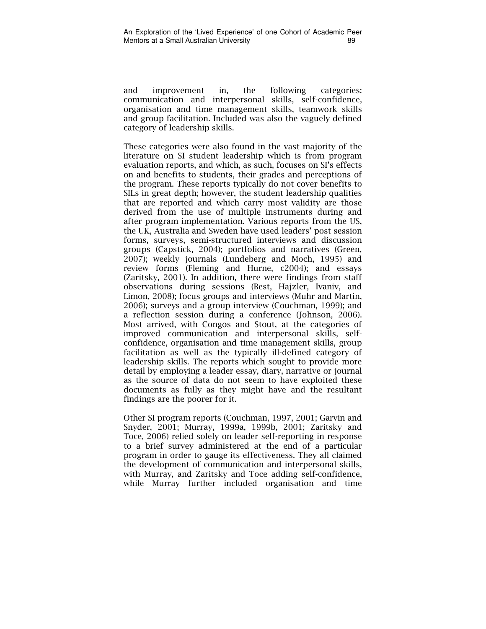and improvement in, the following categories: communication and interpersonal skills, self-confidence, organisation and time management skills, teamwork skills and group facilitation. Included was also the vaguely defined category of leadership skills.

These categories were also found in the vast majority of the literature on SI student leadership which is from program evaluation reports, and which, as such, focuses on SI's effects on and benefits to students, their grades and perceptions of the program. These reports typically do not cover benefits to SILs in great depth; however, the student leadership qualities that are reported and which carry most validity are those derived from the use of multiple instruments during and after program implementation. Various reports from the US, the UK, Australia and Sweden have used leaders' post session forms, surveys, semi-structured interviews and discussion groups (Capstick, 2004); portfolios and narratives (Green, 2007); weekly journals (Lundeberg and Moch, 1995) and review forms (Fleming and Hurne, c2004); and essays (Zaritsky, 2001). In addition, there were findings from staff observations during sessions (Best, Hajzler, Ivaniv, and Limon, 2008); focus groups and interviews (Muhr and Martin, 2006); surveys and a group interview (Couchman, 1999); and a reflection session during a conference (Johnson, 2006). Most arrived, with Congos and Stout, at the categories of improved communication and interpersonal skills, selfconfidence, organisation and time management skills, group facilitation as well as the typically ill-defined category of leadership skills. The reports which sought to provide more detail by employing a leader essay, diary, narrative or journal as the source of data do not seem to have exploited these documents as fully as they might have and the resultant findings are the poorer for it.

Other SI program reports (Couchman, 1997, 2001; Garvin and Snyder, 2001; Murray, 1999a, 1999b, 2001; Zaritsky and Toce, 2006) relied solely on leader self-reporting in response to a brief survey administered at the end of a particular program in order to gauge its effectiveness. They all claimed the development of communication and interpersonal skills, with Murray, and Zaritsky and Toce adding self-confidence, while Murray further included organisation and time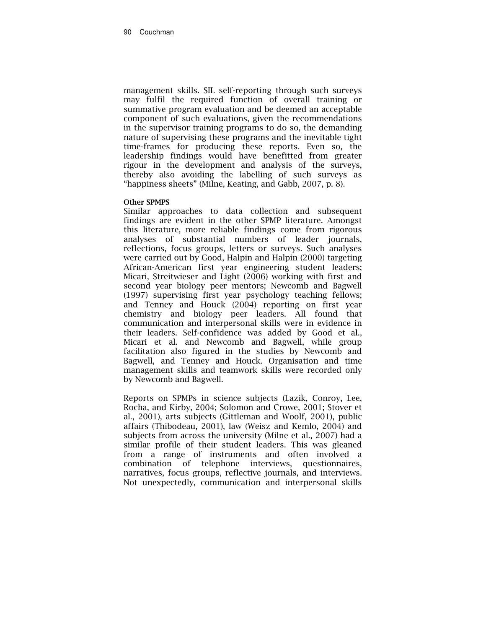management skills. SIL self-reporting through such surveys may fulfil the required function of overall training or summative program evaluation and be deemed an acceptable component of such evaluations, given the recommendations in the supervisor training programs to do so, the demanding nature of supervising these programs and the inevitable tight time-frames for producing these reports. Even so, the leadership findings would have benefitted from greater rigour in the development and analysis of the surveys, thereby also avoiding the labelling of such surveys as "happiness sheets" (Milne, Keating, and Gabb, 2007, p. 8).

#### Other SPMPS

Similar approaches to data collection and subsequent findings are evident in the other SPMP literature. Amongst this literature, more reliable findings come from rigorous analyses of substantial numbers of leader journals, reflections, focus groups, letters or surveys. Such analyses were carried out by Good, Halpin and Halpin (2000) targeting African-American first year engineering student leaders; Micari, Streitwieser and Light (2006) working with first and second year biology peer mentors; Newcomb and Bagwell (1997) supervising first year psychology teaching fellows; and Tenney and Houck (2004) reporting on first year chemistry and biology peer leaders. All found that communication and interpersonal skills were in evidence in their leaders. Self-confidence was added by Good et al., Micari et al. and Newcomb and Bagwell, while group facilitation also figured in the studies by Newcomb and Bagwell, and Tenney and Houck. Organisation and time management skills and teamwork skills were recorded only by Newcomb and Bagwell.

Reports on SPMPs in science subjects (Lazik, Conroy, Lee, Rocha, and Kirby, 2004; Solomon and Crowe, 2001; Stover et al., 2001), arts subjects (Gittleman and Woolf, 2001), public affairs (Thibodeau, 2001), law (Weisz and Kemlo, 2004) and subjects from across the university (Milne et al., 2007) had a similar profile of their student leaders. This was gleaned from a range of instruments and often involved a combination of telephone interviews, questionnaires, narratives, focus groups, reflective journals, and interviews. Not unexpectedly, communication and interpersonal skills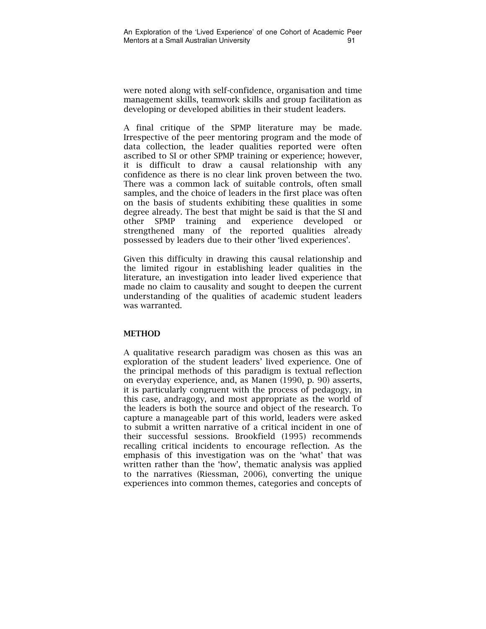were noted along with self-confidence, organisation and time management skills, teamwork skills and group facilitation as developing or developed abilities in their student leaders.

A final critique of the SPMP literature may be made. Irrespective of the peer mentoring program and the mode of data collection, the leader qualities reported were often ascribed to SI or other SPMP training or experience; however, it is difficult to draw a causal relationship with any confidence as there is no clear link proven between the two. There was a common lack of suitable controls, often small samples, and the choice of leaders in the first place was often on the basis of students exhibiting these qualities in some degree already. The best that might be said is that the SI and other SPMP training and experience developed or strengthened many of the reported qualities already possessed by leaders due to their other 'lived experiences'.

Given this difficulty in drawing this causal relationship and the limited rigour in establishing leader qualities in the literature, an investigation into leader lived experience that made no claim to causality and sought to deepen the current understanding of the qualities of academic student leaders was warranted.

## **METHOD**

A qualitative research paradigm was chosen as this was an exploration of the student leaders' lived experience. One of the principal methods of this paradigm is textual reflection on everyday experience, and, as Manen (1990, p. 90) asserts, it is particularly congruent with the process of pedagogy, in this case, andragogy, and most appropriate as the world of the leaders is both the source and object of the research. To capture a manageable part of this world, leaders were asked to submit a written narrative of a critical incident in one of their successful sessions. Brookfield (1995) recommends recalling critical incidents to encourage reflection. As the emphasis of this investigation was on the 'what' that was written rather than the 'how', thematic analysis was applied to the narratives (Riessman, 2006), converting the unique experiences into common themes, categories and concepts of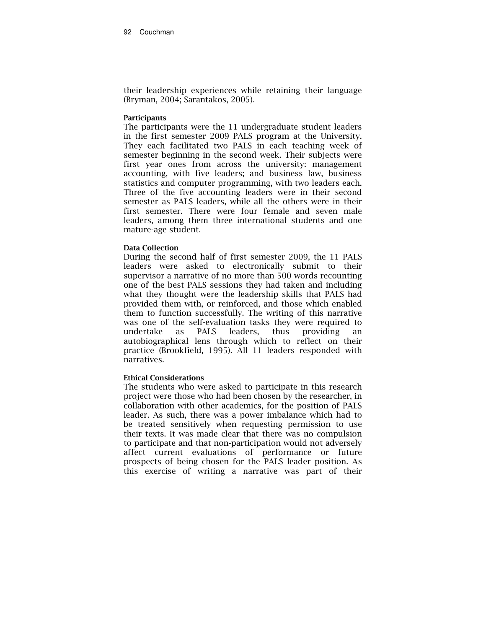their leadership experiences while retaining their language (Bryman, 2004; Sarantakos, 2005).

#### **Participants**

The participants were the 11 undergraduate student leaders in the first semester 2009 PALS program at the University. They each facilitated two PALS in each teaching week of semester beginning in the second week. Their subjects were first year ones from across the university: management accounting, with five leaders; and business law, business statistics and computer programming, with two leaders each. Three of the five accounting leaders were in their second semester as PALS leaders, while all the others were in their first semester. There were four female and seven male leaders, among them three international students and one mature-age student.

#### Data Collection

During the second half of first semester 2009, the 11 PALS leaders were asked to electronically submit to their supervisor a narrative of no more than 500 words recounting one of the best PALS sessions they had taken and including what they thought were the leadership skills that PALS had provided them with, or reinforced, and those which enabled them to function successfully. The writing of this narrative was one of the self-evaluation tasks they were required to undertake as PALS leaders, thus providing an autobiographical lens through which to reflect on their practice (Brookfield, 1995). All 11 leaders responded with narratives.

#### Ethical Considerations

The students who were asked to participate in this research project were those who had been chosen by the researcher, in collaboration with other academics, for the position of PALS leader. As such, there was a power imbalance which had to be treated sensitively when requesting permission to use their texts. It was made clear that there was no compulsion to participate and that non-participation would not adversely affect current evaluations of performance or future prospects of being chosen for the PALS leader position. As this exercise of writing a narrative was part of their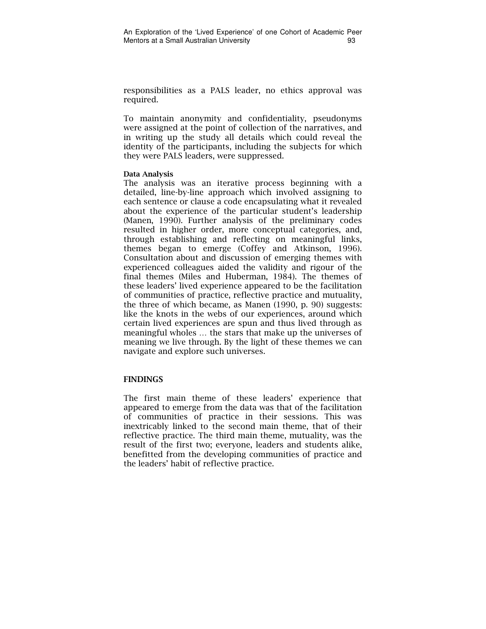responsibilities as a PALS leader, no ethics approval was required.

To maintain anonymity and confidentiality, pseudonyms were assigned at the point of collection of the narratives, and in writing up the study all details which could reveal the identity of the participants, including the subjects for which they were PALS leaders, were suppressed.

#### Data Analysis

The analysis was an iterative process beginning with a detailed, line-by-line approach which involved assigning to each sentence or clause a code encapsulating what it revealed about the experience of the particular student's leadership (Manen, 1990). Further analysis of the preliminary codes resulted in higher order, more conceptual categories, and, through establishing and reflecting on meaningful links, themes began to emerge (Coffey and Atkinson, 1996). Consultation about and discussion of emerging themes with experienced colleagues aided the validity and rigour of the final themes (Miles and Huberman, 1984). The themes of these leaders' lived experience appeared to be the facilitation of communities of practice, reflective practice and mutuality, the three of which became, as Manen (1990, p. 90) suggests: like the knots in the webs of our experiences, around which certain lived experiences are spun and thus lived through as meaningful wholes … the stars that make up the universes of meaning we live through. By the light of these themes we can navigate and explore such universes.

#### FINDINGS

The first main theme of these leaders' experience that appeared to emerge from the data was that of the facilitation of communities of practice in their sessions. This was inextricably linked to the second main theme, that of their reflective practice. The third main theme, mutuality, was the result of the first two; everyone, leaders and students alike, benefitted from the developing communities of practice and the leaders' habit of reflective practice.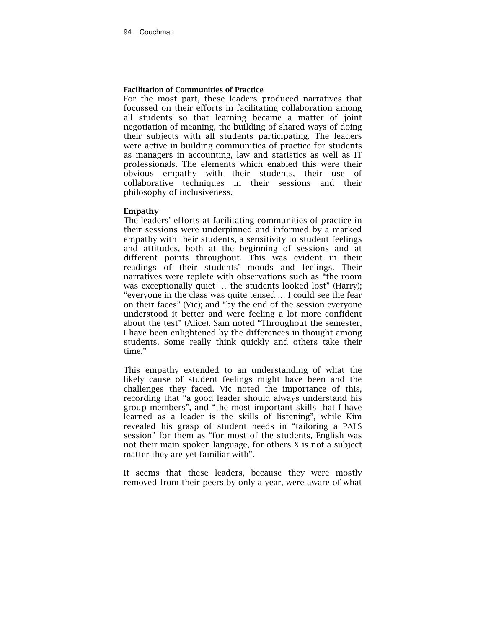#### Facilitation of Communities of Practice

For the most part, these leaders produced narratives that focussed on their efforts in facilitating collaboration among all students so that learning became a matter of joint negotiation of meaning, the building of shared ways of doing their subjects with all students participating. The leaders were active in building communities of practice for students as managers in accounting, law and statistics as well as IT professionals. The elements which enabled this were their obvious empathy with their students, their use of collaborative techniques in their sessions and their philosophy of inclusiveness.

#### Empathy

The leaders' efforts at facilitating communities of practice in their sessions were underpinned and informed by a marked empathy with their students, a sensitivity to student feelings and attitudes, both at the beginning of sessions and at different points throughout. This was evident in their readings of their students' moods and feelings. Their narratives were replete with observations such as "the room was exceptionally quiet … the students looked lost" (Harry); "everyone in the class was quite tensed … I could see the fear on their faces" (Vic); and "by the end of the session everyone understood it better and were feeling a lot more confident about the test" (Alice). Sam noted "Throughout the semester, I have been enlightened by the differences in thought among students. Some really think quickly and others take their time."

This empathy extended to an understanding of what the likely cause of student feelings might have been and the challenges they faced. Vic noted the importance of this, recording that "a good leader should always understand his group members", and "the most important skills that I have learned as a leader is the skills of listening", while Kim revealed his grasp of student needs in "tailoring a PALS session" for them as "for most of the students, English was not their main spoken language, for others X is not a subject matter they are yet familiar with".

It seems that these leaders, because they were mostly removed from their peers by only a year, were aware of what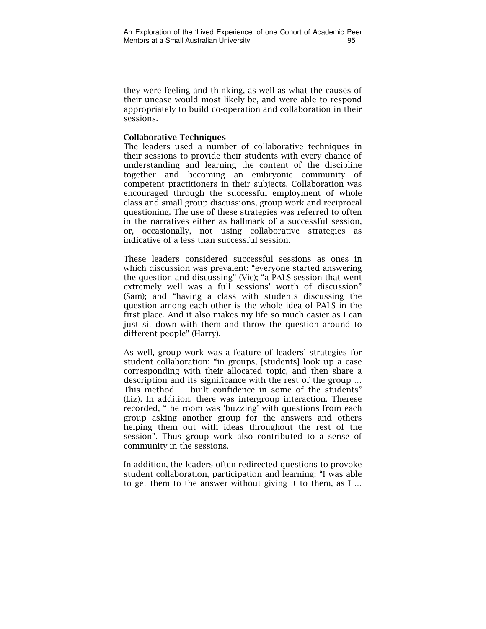they were feeling and thinking, as well as what the causes of their unease would most likely be, and were able to respond appropriately to build co-operation and collaboration in their sessions.

#### Collaborative Techniques

The leaders used a number of collaborative techniques in their sessions to provide their students with every chance of understanding and learning the content of the discipline together and becoming an embryonic community of competent practitioners in their subjects. Collaboration was encouraged through the successful employment of whole class and small group discussions, group work and reciprocal questioning. The use of these strategies was referred to often in the narratives either as hallmark of a successful session, or, occasionally, not using collaborative strategies as indicative of a less than successful session.

These leaders considered successful sessions as ones in which discussion was prevalent: "everyone started answering the question and discussing" (Vic); "a PALS session that went extremely well was a full sessions' worth of discussion" (Sam); and "having a class with students discussing the question among each other is the whole idea of PALS in the first place. And it also makes my life so much easier as I can just sit down with them and throw the question around to different people" (Harry).

As well, group work was a feature of leaders' strategies for student collaboration: "in groups, [students] look up a case corresponding with their allocated topic, and then share a description and its significance with the rest of the group … This method … built confidence in some of the students" (Liz). In addition, there was intergroup interaction. Therese recorded, "the room was 'buzzing' with questions from each group asking another group for the answers and others helping them out with ideas throughout the rest of the session". Thus group work also contributed to a sense of community in the sessions.

In addition, the leaders often redirected questions to provoke student collaboration, participation and learning: "I was able to get them to the answer without giving it to them, as I …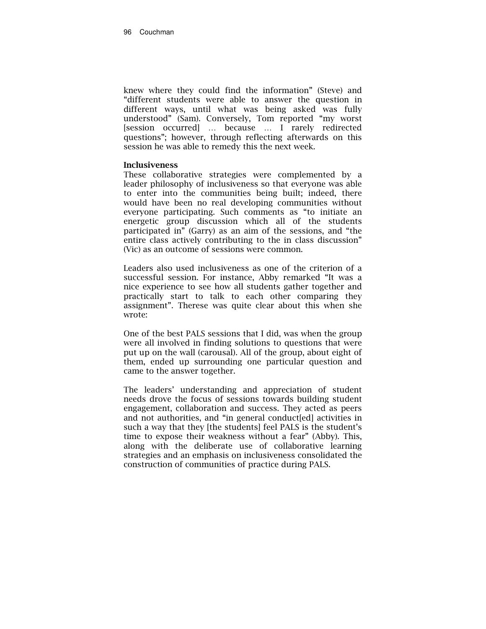knew where they could find the information" (Steve) and "different students were able to answer the question in different ways, until what was being asked was fully understood" (Sam). Conversely, Tom reported "my worst [session occurred] … because … I rarely redirected questions"; however, through reflecting afterwards on this session he was able to remedy this the next week.

#### Inclusiveness

These collaborative strategies were complemented by a leader philosophy of inclusiveness so that everyone was able to enter into the communities being built; indeed, there would have been no real developing communities without everyone participating. Such comments as "to initiate an energetic group discussion which all of the students participated in" (Garry) as an aim of the sessions, and "the entire class actively contributing to the in class discussion" (Vic) as an outcome of sessions were common.

Leaders also used inclusiveness as one of the criterion of a successful session. For instance, Abby remarked "It was a nice experience to see how all students gather together and practically start to talk to each other comparing they assignment". Therese was quite clear about this when she wrote:

One of the best PALS sessions that I did, was when the group were all involved in finding solutions to questions that were put up on the wall (carousal). All of the group, about eight of them, ended up surrounding one particular question and came to the answer together.

The leaders' understanding and appreciation of student needs drove the focus of sessions towards building student engagement, collaboration and success. They acted as peers and not authorities, and "in general conduct[ed] activities in such a way that they [the students] feel PALS is the student's time to expose their weakness without a fear" (Abby). This, along with the deliberate use of collaborative learning strategies and an emphasis on inclusiveness consolidated the construction of communities of practice during PALS.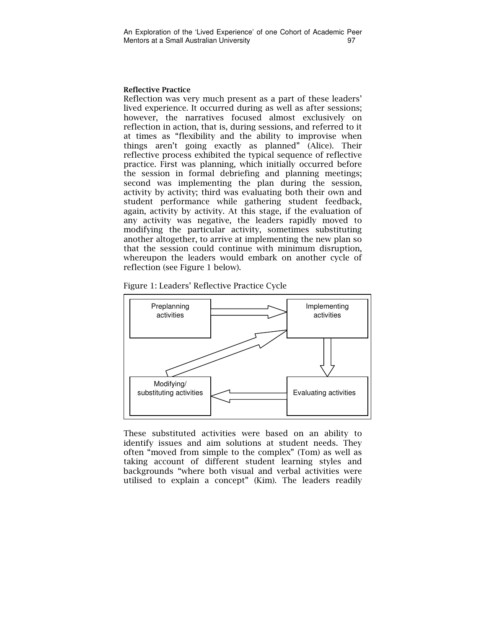#### Reflective Practice

Reflection was very much present as a part of these leaders' lived experience. It occurred during as well as after sessions; however, the narratives focused almost exclusively on reflection in action, that is, during sessions, and referred to it at times as "flexibility and the ability to improvise when things aren't going exactly as planned" (Alice). Their reflective process exhibited the typical sequence of reflective practice. First was planning, which initially occurred before the session in formal debriefing and planning meetings; second was implementing the plan during the session, activity by activity; third was evaluating both their own and student performance while gathering student feedback, again, activity by activity. At this stage, if the evaluation of any activity was negative, the leaders rapidly moved to modifying the particular activity, sometimes substituting another altogether, to arrive at implementing the new plan so that the session could continue with minimum disruption, whereupon the leaders would embark on another cycle of reflection (see Figure 1 below).





These substituted activities were based on an ability to identify issues and aim solutions at student needs. They often "moved from simple to the complex" (Tom) as well as taking account of different student learning styles and backgrounds "where both visual and verbal activities were utilised to explain a concept" (Kim). The leaders readily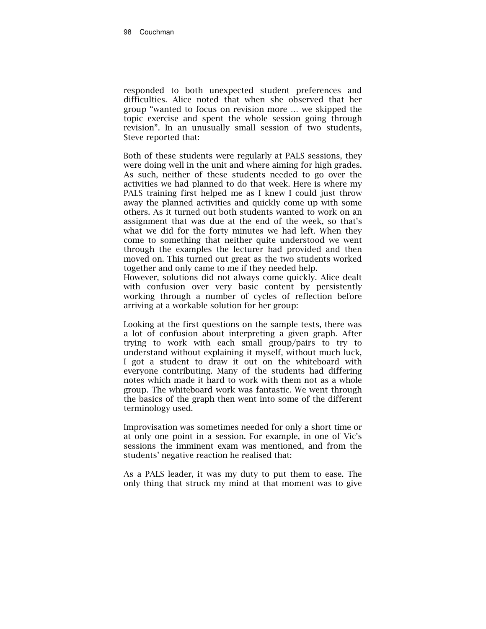responded to both unexpected student preferences and difficulties. Alice noted that when she observed that her group "wanted to focus on revision more … we skipped the topic exercise and spent the whole session going through revision". In an unusually small session of two students, Steve reported that:

Both of these students were regularly at PALS sessions, they were doing well in the unit and where aiming for high grades. As such, neither of these students needed to go over the activities we had planned to do that week. Here is where my PALS training first helped me as I knew I could just throw away the planned activities and quickly come up with some others. As it turned out both students wanted to work on an assignment that was due at the end of the week, so that's what we did for the forty minutes we had left. When they come to something that neither quite understood we went through the examples the lecturer had provided and then moved on. This turned out great as the two students worked together and only came to me if they needed help.

However, solutions did not always come quickly. Alice dealt with confusion over very basic content by persistently working through a number of cycles of reflection before arriving at a workable solution for her group:

Looking at the first questions on the sample tests, there was a lot of confusion about interpreting a given graph. After trying to work with each small group/pairs to try to understand without explaining it myself, without much luck, I got a student to draw it out on the whiteboard with everyone contributing. Many of the students had differing notes which made it hard to work with them not as a whole group. The whiteboard work was fantastic. We went through the basics of the graph then went into some of the different terminology used.

Improvisation was sometimes needed for only a short time or at only one point in a session. For example, in one of Vic's sessions the imminent exam was mentioned, and from the students' negative reaction he realised that:

As a PALS leader, it was my duty to put them to ease. The only thing that struck my mind at that moment was to give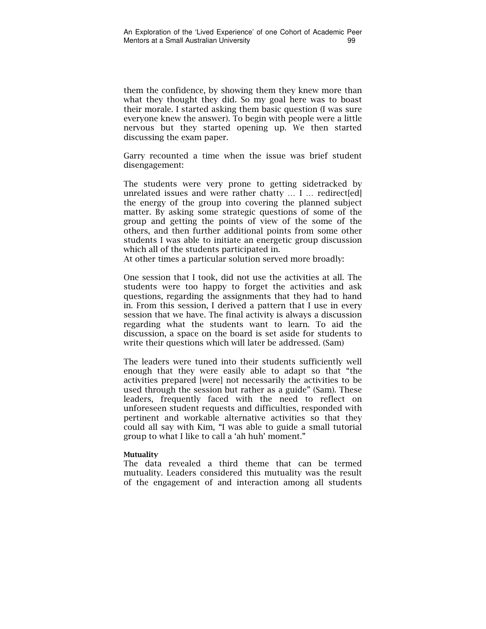them the confidence, by showing them they knew more than what they thought they did. So my goal here was to boast their morale. I started asking them basic question (I was sure everyone knew the answer). To begin with people were a little nervous but they started opening up. We then started discussing the exam paper.

Garry recounted a time when the issue was brief student disengagement:

The students were very prone to getting sidetracked by unrelated issues and were rather chatty … I … redirect[ed] the energy of the group into covering the planned subject matter. By asking some strategic questions of some of the group and getting the points of view of the some of the others, and then further additional points from some other students I was able to initiate an energetic group discussion which all of the students participated in.

At other times a particular solution served more broadly:

One session that I took, did not use the activities at all. The students were too happy to forget the activities and ask questions, regarding the assignments that they had to hand in. From this session, I derived a pattern that I use in every session that we have. The final activity is always a discussion regarding what the students want to learn. To aid the discussion, a space on the board is set aside for students to write their questions which will later be addressed. (Sam)

The leaders were tuned into their students sufficiently well enough that they were easily able to adapt so that "the activities prepared [were] not necessarily the activities to be used through the session but rather as a guide" (Sam). These leaders, frequently faced with the need to reflect on unforeseen student requests and difficulties, responded with pertinent and workable alternative activities so that they could all say with Kim, "I was able to guide a small tutorial group to what I like to call a 'ah huh' moment."

#### Mutuality

The data revealed a third theme that can be termed mutuality. Leaders considered this mutuality was the result of the engagement of and interaction among all students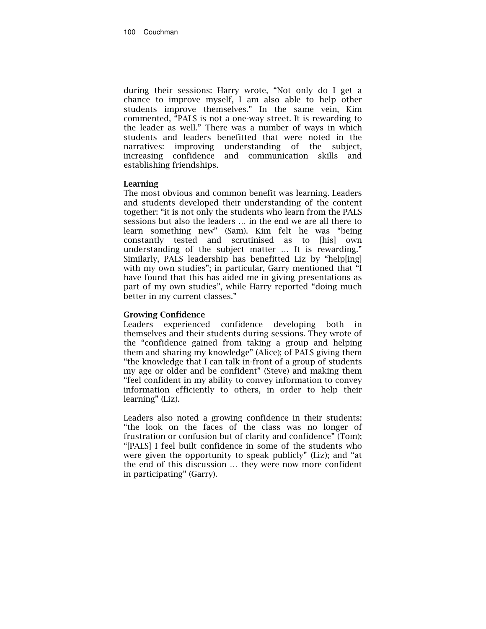during their sessions: Harry wrote, "Not only do I get a chance to improve myself, I am also able to help other students improve themselves." In the same vein, Kim commented, "PALS is not a one-way street. It is rewarding to the leader as well." There was a number of ways in which students and leaders benefitted that were noted in the narratives: improving understanding of the subject, increasing confidence and communication skills and establishing friendships.

#### Learning

The most obvious and common benefit was learning. Leaders and students developed their understanding of the content together: "it is not only the students who learn from the PALS sessions but also the leaders … in the end we are all there to learn something new" (Sam). Kim felt he was "being constantly tested and scrutinised as to [his] own understanding of the subject matter … It is rewarding." Similarly, PALS leadership has benefitted Liz by "help[ing] with my own studies"; in particular, Garry mentioned that "I have found that this has aided me in giving presentations as part of my own studies", while Harry reported "doing much better in my current classes."

#### Growing Confidence

Leaders experienced confidence developing both in themselves and their students during sessions. They wrote of the "confidence gained from taking a group and helping them and sharing my knowledge" (Alice); of PALS giving them "the knowledge that I can talk in-front of a group of students my age or older and be confident" (Steve) and making them "feel confident in my ability to convey information to convey information efficiently to others, in order to help their learning" (Liz).

Leaders also noted a growing confidence in their students: "the look on the faces of the class was no longer of frustration or confusion but of clarity and confidence" (Tom); "[PALS] I feel built confidence in some of the students who were given the opportunity to speak publicly" (Liz); and "at the end of this discussion … they were now more confident in participating" (Garry).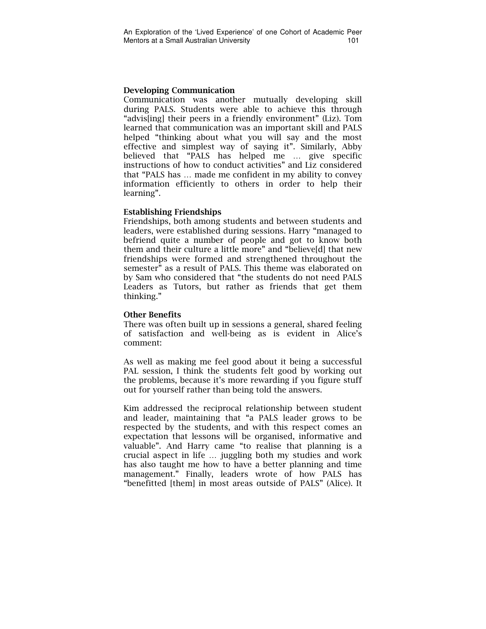#### Developing Communication

Communication was another mutually developing skill during PALS. Students were able to achieve this through "advis[ing] their peers in a friendly environment" (Liz). Tom learned that communication was an important skill and PALS helped "thinking about what you will say and the most effective and simplest way of saying it". Similarly, Abby believed that "PALS has helped me … give specific instructions of how to conduct activities" and Liz considered that "PALS has … made me confident in my ability to convey information efficiently to others in order to help their learning".

#### Establishing Friendships

Friendships, both among students and between students and leaders, were established during sessions. Harry "managed to befriend quite a number of people and got to know both them and their culture a little more" and "believe[d] that new friendships were formed and strengthened throughout the semester" as a result of PALS. This theme was elaborated on by Sam who considered that "the students do not need PALS Leaders as Tutors, but rather as friends that get them thinking."

#### Other Benefits

There was often built up in sessions a general, shared feeling of satisfaction and well-being as is evident in Alice's comment:

As well as making me feel good about it being a successful PAL session, I think the students felt good by working out the problems, because it's more rewarding if you figure stuff out for yourself rather than being told the answers.

Kim addressed the reciprocal relationship between student and leader, maintaining that "a PALS leader grows to be respected by the students, and with this respect comes an expectation that lessons will be organised, informative and valuable". And Harry came "to realise that planning is a crucial aspect in life … juggling both my studies and work has also taught me how to have a better planning and time management." Finally, leaders wrote of how PALS has "benefitted [them] in most areas outside of PALS" (Alice). It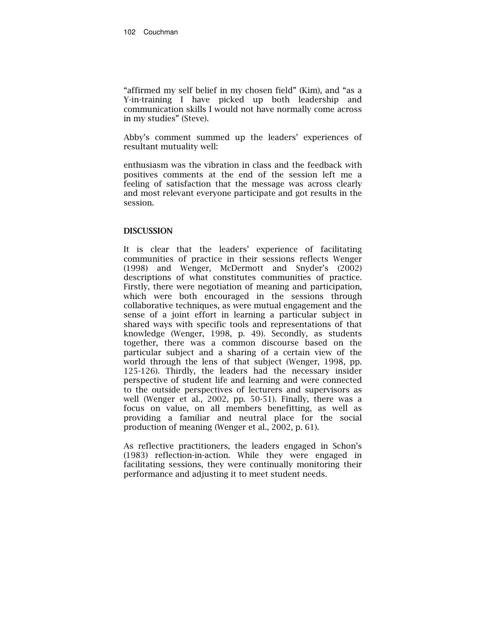"affirmed my self belief in my chosen field" (Kim), and "as a Y-in-training I have picked up both leadership and communication skills I would not have normally come across in my studies" (Steve).

Abby's comment summed up the leaders' experiences of resultant mutuality well:

enthusiasm was the vibration in class and the feedback with positives comments at the end of the session left me a feeling of satisfaction that the message was across clearly and most relevant everyone participate and got results in the session.

#### **DISCUSSION**

It is clear that the leaders' experience of facilitating communities of practice in their sessions reflects Wenger (1998) and Wenger, McDermott and Snyder's (2002) descriptions of what constitutes communities of practice. Firstly, there were negotiation of meaning and participation, which were both encouraged in the sessions through collaborative techniques, as were mutual engagement and the sense of a joint effort in learning a particular subject in shared ways with specific tools and representations of that knowledge (Wenger, 1998, p. 49). Secondly, as students together, there was a common discourse based on the particular subject and a sharing of a certain view of the world through the lens of that subject (Wenger, 1998, pp. 125-126). Thirdly, the leaders had the necessary insider perspective of student life and learning and were connected to the outside perspectives of lecturers and supervisors as well (Wenger et al., 2002, pp. 50-51). Finally, there was a focus on value, on all members benefitting, as well as providing a familiar and neutral place for the social production of meaning (Wenger et al., 2002, p. 61).

As reflective practitioners, the leaders engaged in Schon's (1983) reflection-in-action. While they were engaged in facilitating sessions, they were continually monitoring their performance and adjusting it to meet student needs.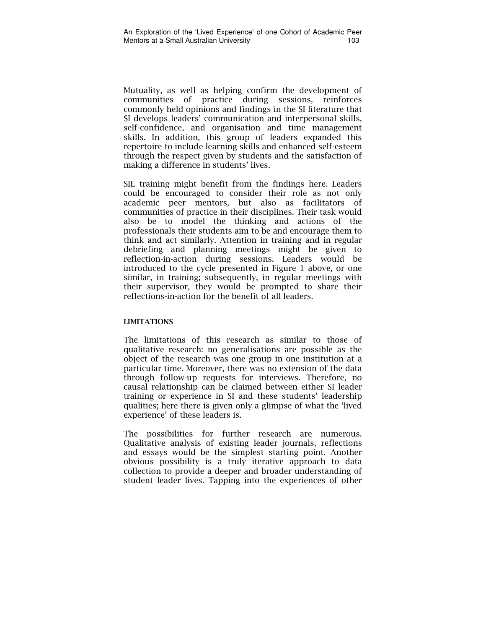Mutuality, as well as helping confirm the development of communities of practice during sessions, reinforces commonly held opinions and findings in the SI literature that SI develops leaders' communication and interpersonal skills, self-confidence, and organisation and time management skills. In addition, this group of leaders expanded this repertoire to include learning skills and enhanced self-esteem through the respect given by students and the satisfaction of making a difference in students' lives.

SIL training might benefit from the findings here. Leaders could be encouraged to consider their role as not only academic peer mentors, but also as facilitators of communities of practice in their disciplines. Their task would also be to model the thinking and actions of the professionals their students aim to be and encourage them to think and act similarly. Attention in training and in regular debriefing and planning meetings might be given to reflection-in-action during sessions. Leaders would be introduced to the cycle presented in Figure 1 above, or one similar, in training; subsequently, in regular meetings with their supervisor, they would be prompted to share their reflections-in-action for the benefit of all leaders.

#### LIMITATIONS

The limitations of this research as similar to those of qualitative research: no generalisations are possible as the object of the research was one group in one institution at a particular time. Moreover, there was no extension of the data through follow-up requests for interviews. Therefore, no causal relationship can be claimed between either SI leader training or experience in SI and these students' leadership qualities; here there is given only a glimpse of what the 'lived experience' of these leaders is.

The possibilities for further research are numerous. Qualitative analysis of existing leader journals, reflections and essays would be the simplest starting point. Another obvious possibility is a truly iterative approach to data collection to provide a deeper and broader understanding of student leader lives. Tapping into the experiences of other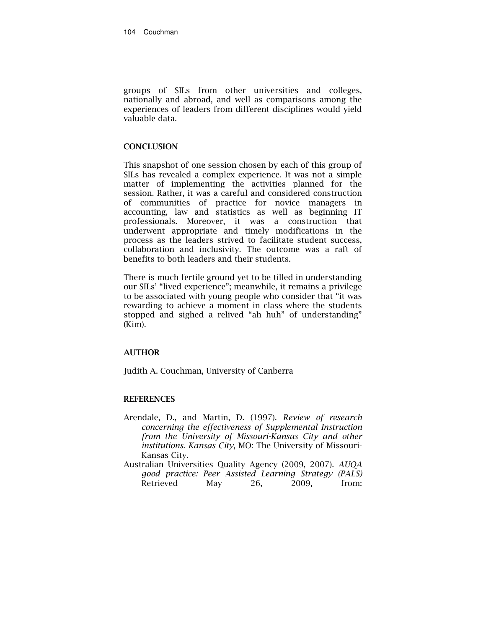groups of SILs from other universities and colleges, nationally and abroad, and well as comparisons among the experiences of leaders from different disciplines would yield valuable data.

#### **CONCLUSION**

This snapshot of one session chosen by each of this group of SILs has revealed a complex experience. It was not a simple matter of implementing the activities planned for the session. Rather, it was a careful and considered construction of communities of practice for novice managers in accounting, law and statistics as well as beginning IT professionals. Moreover, it was a construction that underwent appropriate and timely modifications in the process as the leaders strived to facilitate student success, collaboration and inclusivity. The outcome was a raft of benefits to both leaders and their students.

There is much fertile ground yet to be tilled in understanding our SILs' "lived experience"; meanwhile, it remains a privilege to be associated with young people who consider that "it was rewarding to achieve a moment in class where the students stopped and sighed a relived "ah huh" of understanding" (Kim).

#### AUTHOR

Judith A. Couchman, University of Canberra

#### **REFERENCES**

- Arendale, D., and Martin, D. (1997). Review of research concerning the effectiveness of Supplemental Instruction from the University of Missouri-Kansas City and other institutions. Kansas City, MO: The University of Missouri-Kansas City.
- Australian Universities Quality Agency (2009, 2007). AUQA good practice: Peer Assisted Learning Strategy (PALS) Retrieved May 26, 2009, from: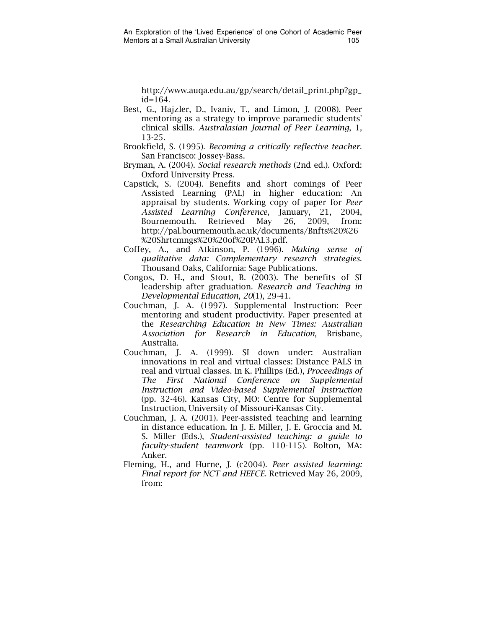http://www.auqa.edu.au/gp/search/detail\_print.php?gp\_  $id = 164.$ 

- Best, G., Hajzler, D., Ivaniv, T., and Limon, J. (2008). Peer mentoring as a strategy to improve paramedic students' clinical skills. Australasian Journal of Peer Learning, 1, 13-25.
- Brookfield, S. (1995). Becoming a critically reflective teacher. San Francisco: Jossey-Bass.
- Bryman, A. (2004). Social research methods (2nd ed.). Oxford: Oxford University Press.
- Capstick, S. (2004). Benefits and short comings of Peer Assisted Learning (PAL) in higher education: An appraisal by students. Working copy of paper for Peer Assisted Learning Conference, January, 21, 2004, Bournemouth. Retrieved May 26, 2009, from: http://pal.bournemouth.ac.uk/documents/Bnfts%20%26 %20Shrtcmngs%20%20of%20PAL3.pdf.
- Coffey, A., and Atkinson, P. (1996). Making sense of qualitative data: Complementary research strategies. Thousand Oaks, California: Sage Publications.
- Congos, D. H., and Stout, B. (2003). The benefits of SI leadership after graduation. Research and Teaching in Developmental Education, 20(1), 29-41.
- Couchman, J. A. (1997). Supplemental Instruction: Peer mentoring and student productivity. Paper presented at the Researching Education in New Times: Australian Association for Research in Education, Brisbane, Australia.
- Couchman, J. A. (1999). SI down under: Australian innovations in real and virtual classes: Distance PALS in real and virtual classes. In K. Phillips (Ed.), Proceedings of The First National Conference on Supplemental Instruction and Video-based Supplemental Instruction (pp. 32-46). Kansas City, MO: Centre for Supplemental Instruction, University of Missouri-Kansas City.
- Couchman, J. A. (2001). Peer-assisted teaching and learning in distance education. In J. E. Miller, J. E. Groccia and M. S. Miller (Eds.), Student-assisted teaching: a guide to faculty-student teamwork (pp. 110-115). Bolton, MA: Anker.
- Fleming, H., and Hurne, J. (c2004). Peer assisted learning: Final report for NCT and HEFCE. Retrieved May 26, 2009, from: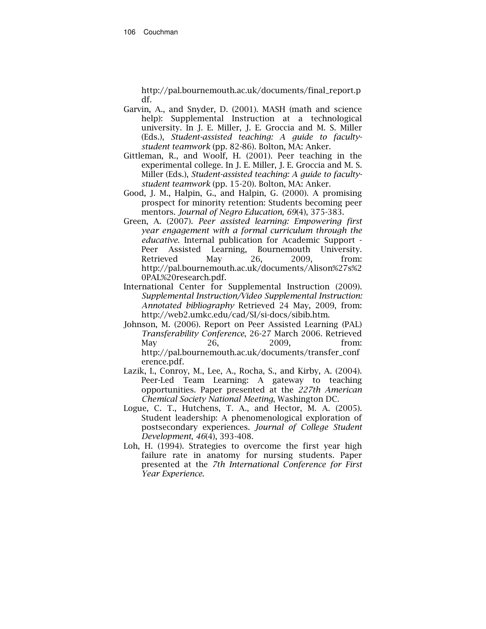http://pal.bournemouth.ac.uk/documents/final\_report.p df.

- Garvin, A., and Snyder, D. (2001). MASH (math and science help): Supplemental Instruction at a technological university. In J. E. Miller, J. E. Groccia and M. S. Miller (Eds.), Student-assisted teaching: A guide to facultystudent teamwork (pp. 82-86). Bolton, MA: Anker.
- Gittleman, R., and Woolf, H. (2001). Peer teaching in the experimental college. In J. E. Miller, J. E. Groccia and M. S. Miller (Eds.), Student-assisted teaching: A guide to facultystudent teamwork (pp. 15-20). Bolton, MA: Anker.
- Good, J. M., Halpin, G., and Halpin, G. (2000). A promising prospect for minority retention: Students becoming peer mentors. Journal of Negro Education, 69(4), 375-383.
- Green, A. (2007). Peer assisted learning: Empowering first year engagement with a formal curriculum through the educative. Internal publication for Academic Support -<br>Peer Assisted Learning, Bournemouth University. Peer Assisted Learning, Bournemouth University. Retrieved May 26, 2009, from: http://pal.bournemouth.ac.uk/documents/Alison%27s%2 0PAL%20research.pdf.
- International Center for Supplemental Instruction (2009). Supplemental Instruction/Video Supplemental Instruction: Annotated bibliography Retrieved 24 May, 2009, from: http://web2.umkc.edu/cad/SI/si-docs/sibib.htm.
- Johnson, M. (2006). Report on Peer Assisted Learning (PAL) Transferability Conference, 26-27 March 2006. Retrieved May 26, 2009, from: http://pal.bournemouth.ac.uk/documents/transfer\_conf erence.pdf.
- Lazik, I., Conroy, M., Lee, A., Rocha, S., and Kirby, A. (2004). Peer-Led Team Learning: A gateway to teaching opportunities. Paper presented at the 227th American Chemical Society National Meeting, Washington DC.
- Logue, C. T., Hutchens, T. A., and Hector, M. A. (2005). Student leadership: A phenomenological exploration of postsecondary experiences. Journal of College Student Development, 46(4), 393-408.
- Loh, H. (1994). Strategies to overcome the first year high failure rate in anatomy for nursing students. Paper presented at the 7th International Conference for First Year Experience.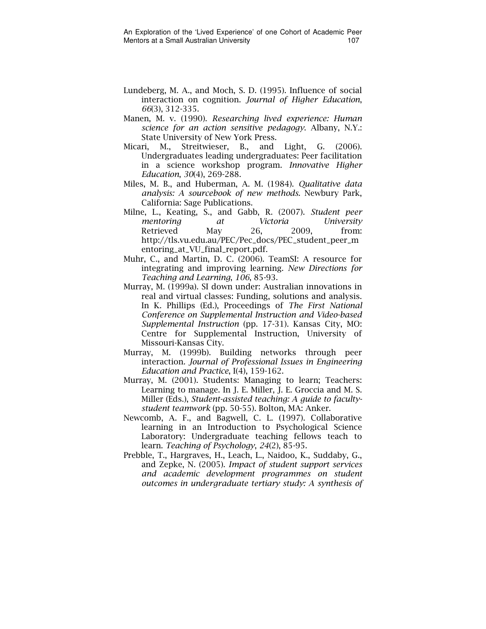- Lundeberg, M. A., and Moch, S. D. (1995). Influence of social interaction on cognition. Journal of Higher Education, 66(3), 312-335.
- Manen, M. v. (1990). Researching lived experience: Human science for an action sensitive pedagogy. Albany, N.Y.: State University of New York Press.
- Micari, M., Streitwieser, B., and Light, G. (2006). Undergraduates leading undergraduates: Peer facilitation in a science workshop program. Innovative Higher Education, 30(4), 269-288.
- Miles, M. B., and Huberman, A. M. (1984). Qualitative data analysis: A sourcebook of new methods. Newbury Park, California: Sage Publications.
- Milne, L., Keating, S., and Gabb, R. (2007). Student peer mentoring at Victoria University Retrieved May 26, 2009, from: http://tls.vu.edu.au/PEC/Pec\_docs/PEC\_student\_peer\_m entoring\_at\_VU\_final\_report.pdf.
- Muhr, C., and Martin, D. C. (2006). TeamSI: A resource for integrating and improving learning. New Directions for Teaching and Learning, 106, 85-93.
- Murray, M. (1999a). SI down under: Australian innovations in real and virtual classes: Funding, solutions and analysis. In K. Phillips (Ed.), Proceedings of The First National Conference on Supplemental Instruction and Video-based Supplemental Instruction (pp. 17-31). Kansas City, MO: Centre for Supplemental Instruction, University of Missouri-Kansas City.
- Murray, M. (1999b). Building networks through peer interaction. Journal of Professional Issues in Engineering Education and Practice, I(4), 159-162.
- Murray, M. (2001). Students: Managing to learn; Teachers: Learning to manage. In J. E. Miller, J. E. Groccia and M. S. Miller (Eds.), Student-assisted teaching: A guide to facultystudent teamwork (pp. 50-55). Bolton, MA: Anker.
- Newcomb, A. F., and Bagwell, C. L. (1997). Collaborative learning in an Introduction to Psychological Science Laboratory: Undergraduate teaching fellows teach to learn. Teaching of Psychology, 24(2), 85-95.
- Prebble, T., Hargraves, H., Leach, L., Naidoo, K., Suddaby, G., and Zepke, N. (2005). Impact of student support services and academic development programmes on student outcomes in undergraduate tertiary study: A synthesis of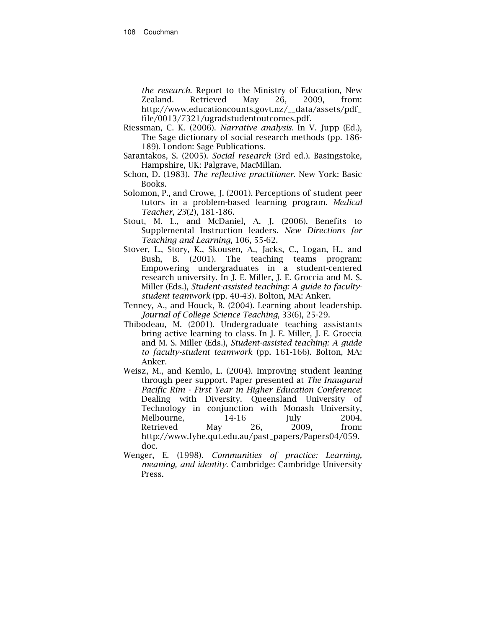the research. Report to the Ministry of Education, New Zealand. Retrieved May 26, 2009, from: http://www.educationcounts.govt.nz/\_\_data/assets/pdf\_ file/0013/7321/ugradstudentoutcomes.pdf.

- Riessman, C. K. (2006). Narrative analysis. In V. Jupp (Ed.), The Sage dictionary of social research methods (pp. 186- 189). London: Sage Publications.
- Sarantakos, S. (2005). Social research (3rd ed.). Basingstoke, Hampshire, UK: Palgrave, MacMillan.
- Schon, D. (1983). The reflective practitioner. New York: Basic Books.
- Solomon, P., and Crowe, J. (2001). Perceptions of student peer tutors in a problem-based learning program. Medical Teacher, 23(2), 181-186.
- Stout, M. L., and McDaniel, A. J. (2006). Benefits to Supplemental Instruction leaders. New Directions for Teaching and Learning, 106, 55-62.
- Stover, L., Story, K., Skousen, A., Jacks, C., Logan, H., and Bush, B. (2001). The teaching teams program: Empowering undergraduates in a student-centered research university. In J. E. Miller, J. E. Groccia and M. S. Miller (Eds.), Student-assisted teaching: A guide to facultystudent teamwork (pp. 40-43). Bolton, MA: Anker.
- Tenney, A., and Houck, B. (2004). Learning about leadership. Journal of College Science Teaching, 33(6), 25-29.
- Thibodeau, M. (2001). Undergraduate teaching assistants bring active learning to class. In J. E. Miller, J. E. Groccia and M. S. Miller (Eds.), Student-assisted teaching: A guide to faculty-student teamwork (pp. 161-166). Bolton, MA: Anker.
- Weisz, M., and Kemlo, L. (2004). Improving student leaning through peer support. Paper presented at The Inaugural Pacific Rim - First Year in Higher Education Conference: Dealing with Diversity. Queensland University of Technology in conjunction with Monash University, Melbourne, 14-16 July 2004. Retrieved May 26, 2009, from: http://www.fyhe.qut.edu.au/past\_papers/Papers04/059. doc.
- Wenger, E. (1998). Communities of practice: Learning, meaning, and identity. Cambridge: Cambridge University Press.